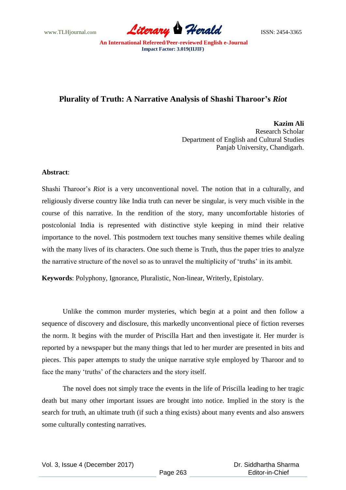www.TLHjournal.com *Literary Herald*ISSN: 2454-3365

## **Plurality of Truth: A Narrative Analysis of Shashi Tharoor's** *Riot*

**Kazim Ali** Research Scholar Department of English and Cultural Studies Panjab University, Chandigarh.

## **Abstract**:

Shashi Tharoor's *Riot* is a very unconventional novel. The notion that in a culturally, and religiously diverse country like India truth can never be singular, is very much visible in the course of this narrative. In the rendition of the story, many uncomfortable histories of postcolonial India is represented with distinctive style keeping in mind their relative importance to the novel. This postmodern text touches many sensitive themes while dealing with the many lives of its characters. One such theme is Truth, thus the paper tries to analyze the narrative structure of the novel so as to unravel the multiplicity of ‗truths' in its ambit.

**Keywords**: Polyphony, Ignorance, Pluralistic, Non-linear, Writerly, Epistolary.

Unlike the common murder mysteries, which begin at a point and then follow a sequence of discovery and disclosure, this markedly unconventional piece of fiction reverses the norm. It begins with the murder of Priscilla Hart and then investigate it. Her murder is reported by a newspaper but the many things that led to her murder are presented in bits and pieces. This paper attempts to study the unique narrative style employed by Tharoor and to face the many 'truths' of the characters and the story itself.

The novel does not simply trace the events in the life of Priscilla leading to her tragic death but many other important issues are brought into notice. Implied in the story is the search for truth, an ultimate truth (if such a thing exists) about many events and also answers some culturally contesting narratives.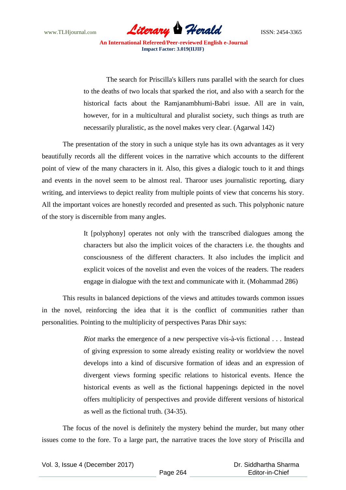

The search for Priscilla's killers runs parallel with the search for clues to the deaths of two locals that sparked the riot, and also with a search for the historical facts about the Ramjanambhumi-Babri issue. All are in vain, however, for in a multicultural and pluralist society, such things as truth are necessarily pluralistic, as the novel makes very clear. (Agarwal 142)

The presentation of the story in such a unique style has its own advantages as it very beautifully records all the different voices in the narrative which accounts to the different point of view of the many characters in it. Also, this gives a dialogic touch to it and things and events in the novel seem to be almost real. Tharoor uses journalistic reporting, diary writing, and interviews to depict reality from multiple points of view that concerns his story. All the important voices are honestly recorded and presented as such. This polyphonic nature of the story is discernible from many angles.

> It [polyphony] operates not only with the transcribed dialogues among the characters but also the implicit voices of the characters i.e. the thoughts and consciousness of the different characters. It also includes the implicit and explicit voices of the novelist and even the voices of the readers. The readers engage in dialogue with the text and communicate with it. (Mohammad 286)

This results in balanced depictions of the views and attitudes towards common issues in the novel, reinforcing the idea that it is the conflict of communities rather than personalities. Pointing to the multiplicity of perspectives Paras Dhir says:

> *Riot* marks the emergence of a new perspective vis-à-vis fictional . . . Instead of giving expression to some already existing reality or worldview the novel develops into a kind of discursive formation of ideas and an expression of divergent views forming specific relations to historical events. Hence the historical events as well as the fictional happenings depicted in the novel offers multiplicity of perspectives and provide different versions of historical as well as the fictional truth. (34-35).

The focus of the novel is definitely the mystery behind the murder, but many other issues come to the fore. To a large part, the narrative traces the love story of Priscilla and

|  |  | Vol. 3, Issue 4 (December 2017) |  |
|--|--|---------------------------------|--|
|--|--|---------------------------------|--|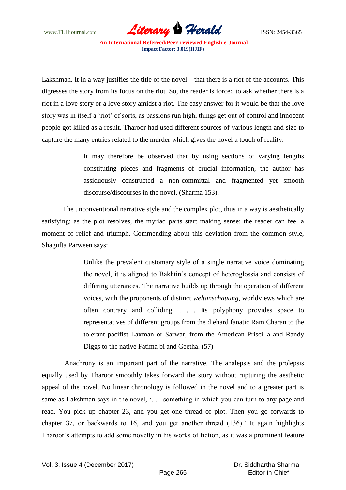

Lakshman. It in a way justifies the title of the novel—that there is a riot of the accounts. This digresses the story from its focus on the riot. So, the reader is forced to ask whether there is a riot in a love story or a love story amidst a riot. The easy answer for it would be that the love story was in itself a 'riot' of sorts, as passions run high, things get out of control and innocent people got killed as a result. Tharoor had used different sources of various length and size to capture the many entries related to the murder which gives the novel a touch of reality.

> It may therefore be observed that by using sections of varying lengths constituting pieces and fragments of crucial information, the author has assiduously constructed a non-committal and fragmented yet smooth discourse/discourses in the novel. (Sharma 153).

The unconventional narrative style and the complex plot, thus in a way is aesthetically satisfying: as the plot resolves, the myriad parts start making sense; the reader can feel a moment of relief and triumph. Commending about this deviation from the common style, Shagufta Parween says:

> Unlike the prevalent customary style of a single narrative voice dominating the novel, it is aligned to Bakhtin's concept of heteroglossia and consists of differing utterances. The narrative builds up through the operation of different voices, with the proponents of distinct *weltanschauung*, worldviews which are often contrary and colliding. . . . Its polyphony provides space to representatives of different groups from the diehard fanatic Ram Charan to the tolerant pacifist Laxman or Sarwar, from the American Priscilla and Randy Diggs to the native Fatima bi and Geetha. (57)

Anachrony is an important part of the narrative. The analepsis and the prolepsis equally used by Tharoor smoothly takes forward the story without rupturing the aesthetic appeal of the novel. No linear chronology is followed in the novel and to a greater part is same as Lakshman says in the novel, '... something in which you can turn to any page and read. You pick up chapter 23, and you get one thread of plot. Then you go forwards to chapter 37, or backwards to 16, and you get another thread (136).' It again highlights Tharoor's attempts to add some novelty in his works of fiction, as it was a prominent feature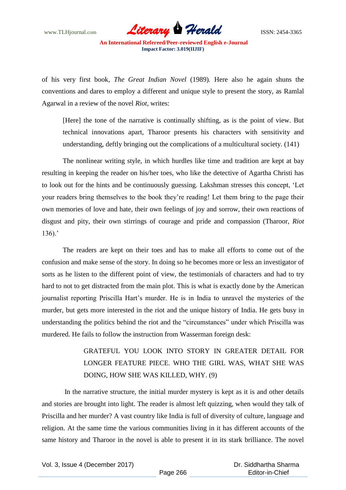

of his very first book, *The Great Indian Novel* (1989)*.* Here also he again shuns the conventions and dares to employ a different and unique style to present the story, as Ramlal Agarwal in a review of the novel *Riot*, writes:

[Here] the tone of the narrative is continually shifting, as is the point of view. But technical innovations apart, Tharoor presents his characters with sensitivity and understanding, deftly bringing out the complications of a multicultural society. (141)

The nonlinear writing style, in which hurdles like time and tradition are kept at bay resulting in keeping the reader on his/her toes, who like the detective of Agartha Christi has to look out for the hints and be continuously guessing. Lakshman stresses this concept, ‗Let your readers bring themselves to the book they're reading! Let them bring to the page their own memories of love and hate, their own feelings of joy and sorrow, their own reactions of disgust and pity, their own stirrings of courage and pride and compassion (Tharoor, *Riot* 136).'

The readers are kept on their toes and has to make all efforts to come out of the confusion and make sense of the story. In doing so he becomes more or less an investigator of sorts as he listen to the different point of view, the testimonials of characters and had to try hard to not to get distracted from the main plot. This is what is exactly done by the American journalist reporting Priscilla Hart's murder. He is in India to unravel the mysteries of the murder, but gets more interested in the riot and the unique history of India. He gets busy in understanding the politics behind the riot and the "circumstances" under which Priscilla was murdered. He fails to follow the instruction from Wasserman foreign desk:

## GRATEFUL YOU LOOK INTO STORY IN GREATER DETAIL FOR LONGER FEATURE PIECE. WHO THE GIRL WAS, WHAT SHE WAS DOING, HOW SHE WAS KILLED, WHY. (9)

In the narrative structure, the initial murder mystery is kept as it is and other details and stories are brought into light. The reader is almost left quizzing, when would they talk of Priscilla and her murder? A vast country like India is full of diversity of culture, language and religion. At the same time the various communities living in it has different accounts of the same history and Tharoor in the novel is able to present it in its stark brilliance. The novel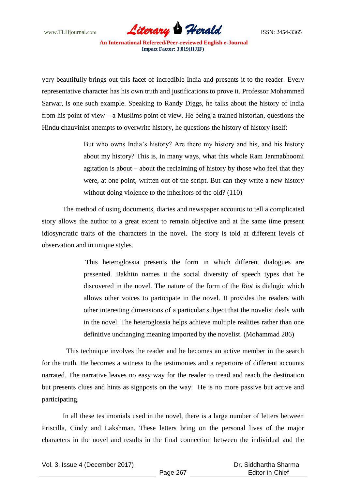

very beautifully brings out this facet of incredible India and presents it to the reader. Every representative character has his own truth and justifications to prove it. Professor Mohammed Sarwar, is one such example. Speaking to Randy Diggs, he talks about the history of India from his point of view – a Muslims point of view. He being a trained historian, questions the Hindu chauvinist attempts to overwrite history, he questions the history of history itself:

> But who owns India's history? Are there my history and his, and his history about my history? This is, in many ways, what this whole Ram Janmabhoomi agitation is about – about the reclaiming of history by those who feel that they were, at one point, written out of the script. But can they write a new history without doing violence to the inheritors of the old? (110)

The method of using documents, diaries and newspaper accounts to tell a complicated story allows the author to a great extent to remain objective and at the same time present idiosyncratic traits of the characters in the novel. The story is told at different levels of observation and in unique styles.

> This heteroglossia presents the form in which different dialogues are presented. Bakhtin names it the social diversity of speech types that he discovered in the novel. The nature of the form of the *Riot* is dialogic which allows other voices to participate in the novel. It provides the readers with other interesting dimensions of a particular subject that the novelist deals with in the novel. The heteroglossia helps achieve multiple realities rather than one definitive unchanging meaning imported by the novelist. (Mohammad 286)

This technique involves the reader and he becomes an active member in the search for the truth. He becomes a witness to the testimonies and a repertoire of different accounts narrated. The narrative leaves no easy way for the reader to tread and reach the destination but presents clues and hints as signposts on the way. He is no more passive but active and participating.

In all these testimonials used in the novel, there is a large number of letters between Priscilla, Cindy and Lakshman. These letters bring on the personal lives of the major characters in the novel and results in the final connection between the individual and the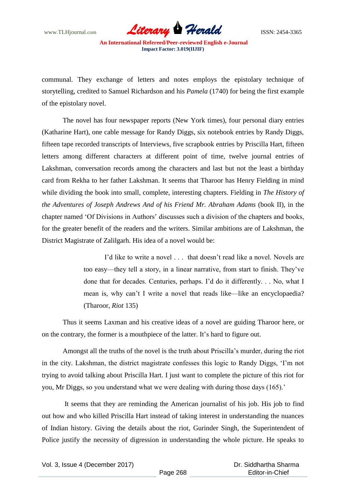

communal. They exchange of letters and notes employs the epistolary technique of storytelling, credited to Samuel Richardson and his *Pamela* (1740) for being the first example of the epistolary novel.

The novel has four newspaper reports (New York times), four personal diary entries (Katharine Hart), one cable message for Randy Diggs, six notebook entries by Randy Diggs, fifteen tape recorded transcripts of Interviews, five scrapbook entries by Priscilla Hart, fifteen letters among different characters at different point of time, twelve journal entries of Lakshman, conversation records among the characters and last but not the least a birthday card from Rekha to her father Lakshman. It seems that Tharoor has Henry Fielding in mind while dividing the book into small, complete, interesting chapters. Fielding in *The History of the Adventures of Joseph Andrews And of his Friend Mr. Abraham Adams* (book II), in the chapter named ‗Of Divisions in Authors' discusses such a division of the chapters and books, for the greater benefit of the readers and the writers. Similar ambitions are of Lakshman, the District Magistrate of Zalilgarh. His idea of a novel would be:

> I'd like to write a novel . . . that doesn't read like a novel. Novels are too easy—they tell a story, in a linear narrative, from start to finish. They've done that for decades. Centuries, perhaps. I'd do it differently. . . No, what I mean is, why can't I write a novel that reads like—like an encyclopaedia? (Tharoor, *Riot* 135)

Thus it seems Laxman and his creative ideas of a novel are guiding Tharoor here, or on the contrary, the former is a mouthpiece of the latter. It's hard to figure out.

Amongst all the truths of the novel is the truth about Priscilla's murder, during the riot in the city. Lakshman, the district magistrate confesses this logic to Randy Diggs, 'I'm not trying to avoid talking about Priscilla Hart. I just want to complete the picture of this riot for you, Mr Diggs, so you understand what we were dealing with during those days (165).'

It seems that they are reminding the American journalist of his job. His job to find out how and who killed Priscilla Hart instead of taking interest in understanding the nuances of Indian history. Giving the details about the riot, Gurinder Singh, the Superintendent of Police justify the necessity of digression in understanding the whole picture. He speaks to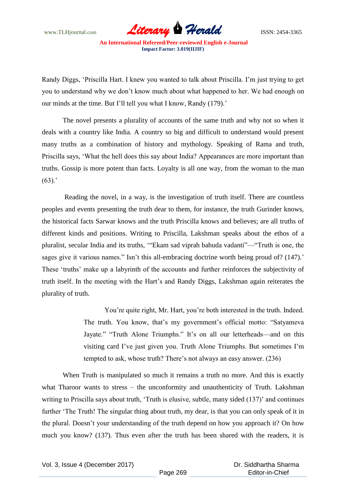www.TLHjournal.com *Literary Herald*ISSN: 2454-3365

Randy Diggs, ‗Priscilla Hart. I knew you wanted to talk about Priscilla. I'm just trying to get you to understand why we don't know much about what happened to her. We had enough on our minds at the time. But I'll tell you what I know, Randy (179).'

The novel presents a plurality of accounts of the same truth and why not so when it deals with a country like India. A country so big and difficult to understand would present many truths as a combination of history and mythology. Speaking of Rama and truth, Priscilla says, ‗What the hell does this say about India? Appearances are more important than truths. Gossip is more potent than facts. Loyalty is all one way, from the woman to the man  $(63).$ 

Reading the novel, in a way, is the investigation of truth itself. There are countless peoples and events presenting the truth dear to them, for instance, the truth Gurinder knows, the historical facts Sarwar knows and the truth Priscilla knows and believes; are all truths of different kinds and positions. Writing to Priscilla, Lakshman speaks about the ethos of a pluralist, secular India and its truths, "Ekam sad viprah bahuda vadanti"— "Truth is one, the sages give it various names." Isn't this all-embracing doctrine worth being proud of? (147).' These 'truths' make up a labyrinth of the accounts and further reinforces the subjectivity of truth itself. In the meeting with the Hart's and Randy Diggs, Lakshman again reiterates the plurality of truth.

> You're quite right, Mr. Hart, you're both interested in the truth. Indeed. The truth. You know, that's my government's official motto: "Satyameva Jayate." "Truth Alone Triumphs." It's on all our letterheads—and on this visiting card I've just given you. Truth Alone Triumphs. But sometimes I'm tempted to ask, whose truth? There's not always an easy answer. (236)

When Truth is manipulated so much it remains a truth no more. And this is exactly what Tharoor wants to stress – the unconformity and unauthenticity of Truth. Lakshman writing to Priscilla says about truth, 'Truth is elusive, subtle, many sided (137)' and continues further 'The Truth! The singular thing about truth, my dear, is that you can only speak of it in the plural. Doesn't your understanding of the truth depend on how you approach it? On how much you know? (137). Thus even after the truth has been shared with the readers, it is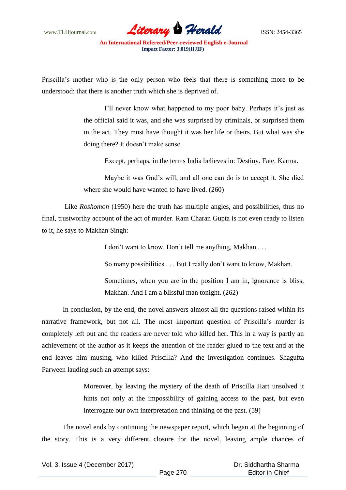www.TLHjournal.com **Literary Herald Herald** ISSN: 2454-3365

Priscilla's mother who is the only person who feels that there is something more to be understood: that there is another truth which she is deprived of.

> I'll never know what happened to my poor baby. Perhaps it's just as the official said it was, and she was surprised by criminals, or surprised them in the act. They must have thought it was her life or theirs. But what was she doing there? It doesn't make sense.

Except, perhaps, in the terms India believes in: Destiny. Fate. Karma.

Maybe it was God's will, and all one can do is to accept it. She died where she would have wanted to have lived. (260)

Like *Roshomon* (1950) here the truth has multiple angles, and possibilities, thus no final, trustworthy account of the act of murder. Ram Charan Gupta is not even ready to listen to it, he says to Makhan Singh:

I don't want to know. Don't tell me anything, Makhan . . .

So many possibilities . . . But I really don't want to know, Makhan.

Sometimes, when you are in the position I am in, ignorance is bliss, Makhan. And I am a blissful man tonight. (262)

In conclusion, by the end, the novel answers almost all the questions raised within its narrative framework, but not all. The most important question of Priscilla's murder is completely left out and the readers are never told who killed her. This in a way is partly an achievement of the author as it keeps the attention of the reader glued to the text and at the end leaves him musing, who killed Priscilla? And the investigation continues. Shagufta Parween lauding such an attempt says:

> Moreover, by leaving the mystery of the death of Priscilla Hart unsolved it hints not only at the impossibility of gaining access to the past, but even interrogate our own interpretation and thinking of the past. (59)

The novel ends by continuing the newspaper report, which began at the beginning of the story. This is a very different closure for the novel, leaving ample chances of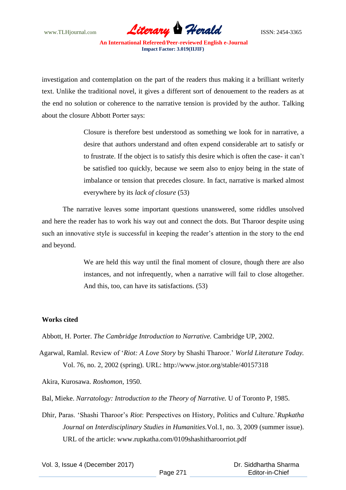www.TLHjournal.com **Literary Herald Herald** ISSN: 2454-3365

investigation and contemplation on the part of the readers thus making it a brilliant writerly text. Unlike the traditional novel, it gives a different sort of denouement to the readers as at the end no solution or coherence to the narrative tension is provided by the author. Talking about the closure Abbott Porter says:

> Closure is therefore best understood as something we look for in narrative, a desire that authors understand and often expend considerable art to satisfy or to frustrate. If the object is to satisfy this desire which is often the case- it can't be satisfied too quickly, because we seem also to enjoy being in the state of imbalance or tension that precedes closure. In fact, narrative is marked almost everywhere by its *lack of closure* (53)

The narrative leaves some important questions unanswered, some riddles unsolved and here the reader has to work his way out and connect the dots. But Tharoor despite using such an innovative style is successful in keeping the reader's attention in the story to the end and beyond.

> We are held this way until the final moment of closure, though there are also instances, and not infrequently, when a narrative will fail to close altogether. And this, too, can have its satisfactions. (53)

## **Works cited**

Abbott, H. Porter. *The Cambridge Introduction to Narrative.* Cambridge UP, 2002.

Agarwal, Ramlal. Review of ‗*Riot: A Love Story* by Shashi Tharoor.' *World Literature Today.* Vol. 76, no. 2, 2002 (spring). URL: http://www.jstor.org/stable/40157318

Akira, Kurosawa. *Roshomon,* 1950.

Bal, Mieke. *Narratology: Introduction to the Theory of Narrative.* U of Toronto P, 1985.

Dhir, Paras. ‗Shashi Tharoor's *Riot*: Perspectives on History, Politics and Culture.'*Rupkatha Journal on Interdisciplinary Studies in Humanities.*Vol.1, no. 3, 2009 (summer issue). URL of the article: www.rupkatha.com/0109shashitharoorriot.pdf